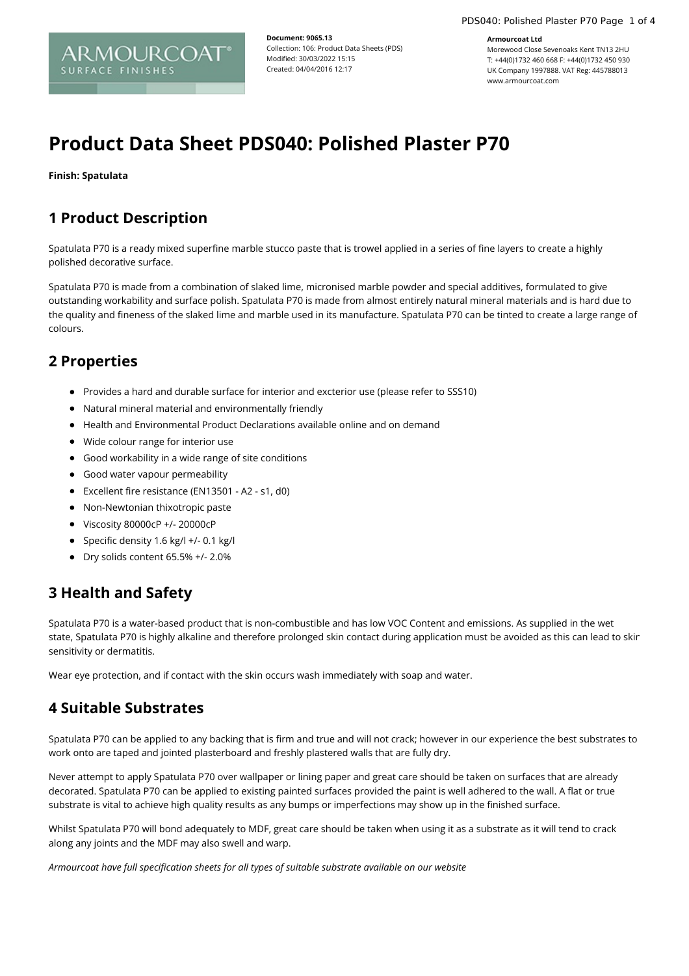#### **Armourcoat Ltd**

Morewood Close Sevenoaks Kent TN13 2HU T: +44(0)1732 460 668 F: +44(0)1732 450 930 UK Company 1997888. VAT Reg: 445788013 www.armourcoat.com

# **Product Data Sheet PDS040: Polished Plaster P70**

**Document: 9065.13**

Modified: 30/03/2022 15:15 Created: 04/04/2016 12:17

Collection: 106: Product Data Sheets (PDS)

**Finish: Spatulata**

#### **1 Product Description**

ARMOURCOA SURFACE FINISHES

Spatulata P70 is a ready mixed superfine marble stucco paste that is trowel applied in a series of fine layers to create a highly polished decorative surface.

Spatulata P70 is made from a combination of slaked lime, micronised marble powder and special additives, formulated to give outstanding workability and surface polish. Spatulata P70 is made from almost entirely natural mineral materials and is hard due to the quality and fineness of the slaked lime and marble used in its manufacture. Spatulata P70 can be tinted to create a large range of colours.

#### **2 Properties**

- Provides a hard and durable surface for interior and excterior use (please refer to SSS10)
- Natural mineral material and environmentally friendly
- Health and Environmental Product Declarations available online and on demand
- Wide colour range for interior use
- Good workability in a wide range of site conditions
- **•** Good water vapour permeability
- Excellent fire resistance (EN13501 A2 s1, d0)
- Non-Newtonian thixotropic paste
- Viscosity 80000cP +/- 20000cP
- $\bullet$  Specific density 1.6 kg/l +/- 0.1 kg/l
- $\bullet$  Dry solids content 65.5% +/- 2.0%

## **3 Health and Safety**

Spatulata P70 is a water-based product that is non-combustible and has low VOC Content and emissions. As supplied in the wet state, Spatulata P70 is highly alkaline and therefore prolonged skin contact during application must be avoided as this can lead to skin sensitivity or dermatitis.

Wear eye protection, and if contact with the skin occurs wash immediately with soap and water.

#### **4 Suitable Substrates**

Spatulata P70 can be applied to any backing that is firm and true and will not crack; however in our experience the best substrates to work onto are taped and jointed plasterboard and freshly plastered walls that are fully dry.

Never attempt to apply Spatulata P70 over wallpaper or lining paper and great care should be taken on surfaces that are already decorated. Spatulata P70 can be applied to existing painted surfaces provided the paint is well adhered to the wall. A flat or true substrate is vital to achieve high quality results as any bumps or imperfections may show up in the finished surface.

Whilst Spatulata P70 will bond adequately to MDF, great care should be taken when using it as a substrate as it will tend to crack along any joints and the MDF may also swell and warp.

*Armourcoat have full specification sheets for all types of suitable substrate available on our website*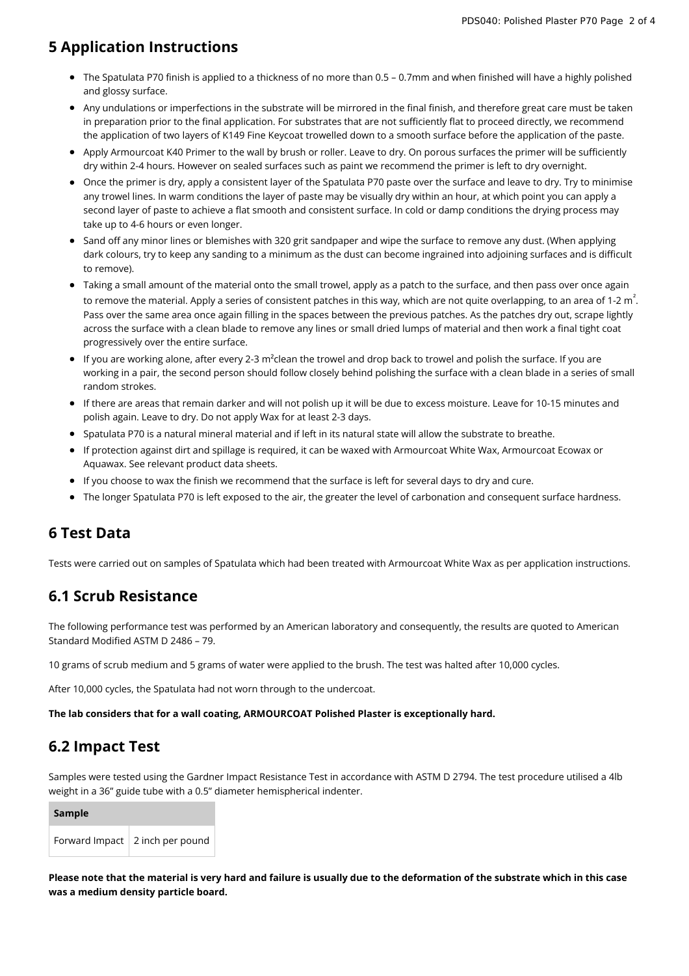#### **5 Application Instructions**

- The Spatulata P70 finish is applied to a thickness of no more than 0.5 0.7mm and when finished will have a highly polished and glossy surface.
- Any undulations or imperfections in the substrate will be mirrored in the final finish, and therefore great care must be taken in preparation prior to the final application. For substrates that are not sufficiently flat to proceed directly, we recommend the application of two layers of K149 Fine Keycoat trowelled down to a smooth surface before the application of the paste.
- Apply Armourcoat K40 Primer to the wall by brush or roller. Leave to dry. On porous surfaces the primer will be sufficiently dry within 2-4 hours. However on sealed surfaces such as paint we recommend the primer is left to dry overnight.
- Once the primer is dry, apply a consistent layer of the Spatulata P70 paste over the surface and leave to dry. Try to minimise any trowel lines. In warm conditions the layer of paste may be visually dry within an hour, at which point you can apply a second layer of paste to achieve a flat smooth and consistent surface. In cold or damp conditions the drying process may take up to 4-6 hours or even longer.
- Sand off any minor lines or blemishes with 320 grit sandpaper and wipe the surface to remove any dust. (When applying dark colours, try to keep any sanding to a minimum as the dust can become ingrained into adjoining surfaces and is difficult to remove).
- Taking a small amount of the material onto the small trowel, apply as a patch to the surface, and then pass over once again to remove the material. Apply a series of consistent patches in this way, which are not quite overlapping, to an area of 1-2 m  $\hat{.}$ Pass over the same area once again filling in the spaces between the previous patches. As the patches dry out, scrape lightly across the surface with a clean blade to remove any lines or small dried lumps of material and then work a final tight coat progressively over the entire surface.
- If you are working alone, after every 2-3 m²clean the trowel and drop back to trowel and polish the surface. If you are working in a pair, the second person should follow closely behind polishing the surface with a clean blade in a series of small random strokes.
- If there are areas that remain darker and will not polish up it will be due to excess moisture. Leave for 10-15 minutes and polish again. Leave to dry. Do not apply Wax for at least 2-3 days.
- Spatulata P70 is a natural mineral material and if left in its natural state will allow the substrate to breathe.
- If protection against dirt and spillage is required, it can be waxed with Armourcoat White Wax, Armourcoat Ecowax or Aquawax. See relevant product data sheets.
- If you choose to wax the finish we recommend that the surface is left for several days to dry and cure.
- The longer Spatulata P70 is left exposed to the air, the greater the level of carbonation and consequent surface hardness.

#### **6 Test Data**

Tests were carried out on samples of Spatulata which had been treated with Armourcoat White Wax as per application instructions.

#### **6.1 Scrub Resistance**

The following performance test was performed by an American laboratory and consequently, the results are quoted to American Standard Modified ASTM D 2486 – 79.

10 grams of scrub medium and 5 grams of water were applied to the brush. The test was halted after 10,000 cycles.

After 10,000 cycles, the Spatulata had not worn through to the undercoat.

**The lab considers that for a wall coating, ARMOURCOAT Polished Plaster is exceptionally hard.**

## **6.2 Impact Test**

Samples were tested using the Gardner Impact Resistance Test in accordance with ASTM D 2794. The test procedure utilised a 4lb weight in a 36" guide tube with a 0.5" diameter hemispherical indenter.

| Sample |                                   |
|--------|-----------------------------------|
|        | Forward Impact   2 inch per pound |

Please note that the material is very hard and failure is usually due to the deformation of the substrate which in this case **was a medium density particle board.**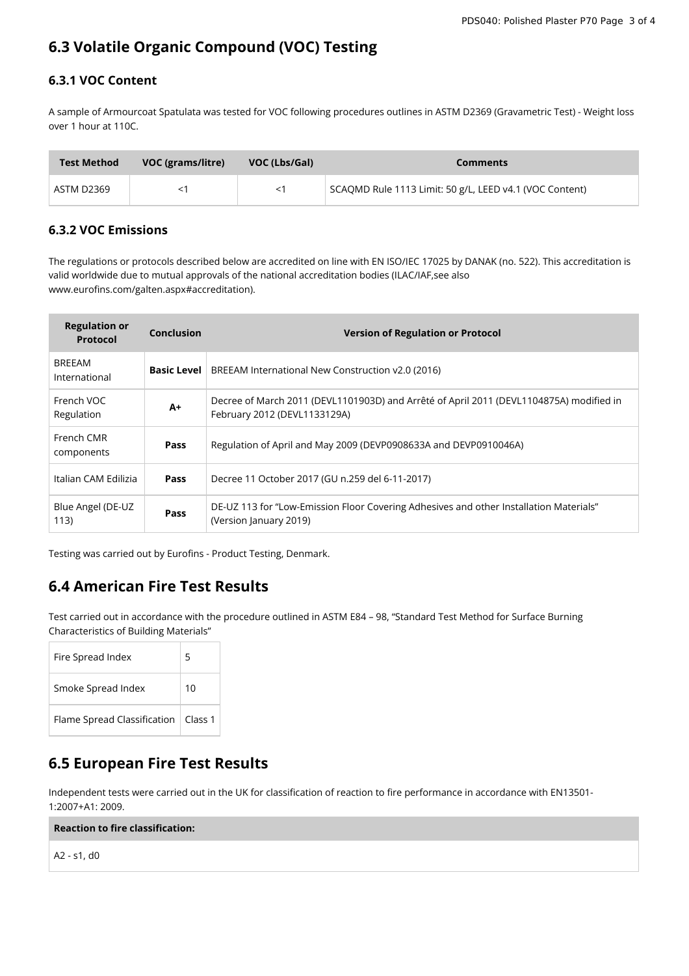## **6.3 Volatile Organic Compound (VOC) Testing**

#### **6.3.1 VOC Content**

A sample of Armourcoat Spatulata was tested for VOC following procedures outlines in ASTM D2369 (Gravametric Test) - Weight loss over 1 hour at 110C.

| <b>Test Method</b> | VOC (grams/litre) | VOC (Lbs/Gal) | <b>Comments</b>                                         |
|--------------------|-------------------|---------------|---------------------------------------------------------|
| ASTM D2369         |                   | $<$ 1         | SCAQMD Rule 1113 Limit: 50 g/L, LEED v4.1 (VOC Content) |

#### **6.3.2 VOC Emissions**

The regulations or protocols described below are accredited on line with EN ISO/IEC 17025 by DANAK (no. 522). This accreditation is valid worldwide due to mutual approvals of the national accreditation bodies (ILAC/IAF,see also www.eurofins.com/galten.aspx#accreditation).

| <b>Regulation or</b><br><b>Protocol</b> | <b>Conclusion</b> | <b>Version of Regulation or Protocol</b>                                                                                |
|-----------------------------------------|-------------------|-------------------------------------------------------------------------------------------------------------------------|
| <b>BREEAM</b><br>International          |                   | <b>Basic Level</b>   BREEAM International New Construction v2.0 (2016)                                                  |
| French VOC<br>Regulation                | A+                | Decree of March 2011 (DEVL1101903D) and Arrêté of April 2011 (DEVL1104875A) modified in<br>February 2012 (DEVL1133129A) |
| French CMR<br>components                | <b>Pass</b>       | Regulation of April and May 2009 (DEVP0908633A and DEVP0910046A)                                                        |
| Italian CAM Edilizia                    | <b>Pass</b>       | Decree 11 October 2017 (GU n.259 del 6-11-2017)                                                                         |
| Blue Angel (DE-UZ<br>113)               | Pass              | DE-UZ 113 for "Low-Emission Floor Covering Adhesives and other Installation Materials"<br>(Version January 2019)        |

Testing was carried out by Eurofins - Product Testing, Denmark.

## **6.4 American Fire Test Results**

Test carried out in accordance with the procedure outlined in ASTM E84 – 98, "Standard Test Method for Surface Burning Characteristics of Building Materials"

| Fire Spread Index           | 5                  |
|-----------------------------|--------------------|
| Smoke Spread Index          | 10                 |
| Flame Spread Classification | Class <sub>1</sub> |

## **6.5 European Fire Test Results**

Independent tests were carried out in the UK for classification of reaction to fire performance in accordance with EN13501- 1:2007+A1: 2009.

**Reaction to fire classification:**

A2 - s1, d0